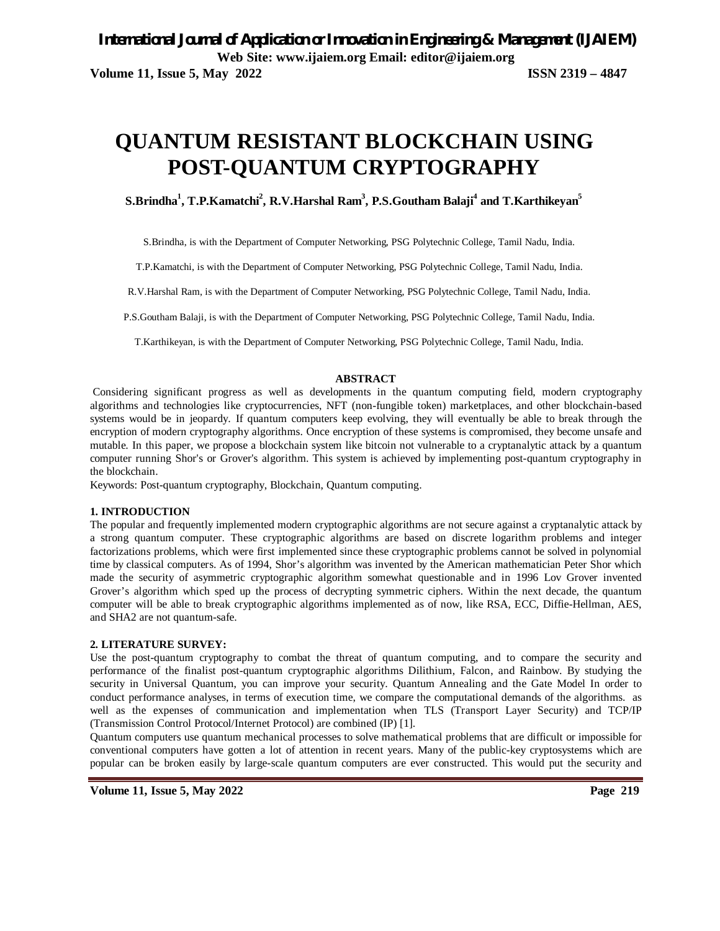# **QUANTUM RESISTANT BLOCKCHAIN USING POST-QUANTUM CRYPTOGRAPHY**

## **S.Brindha<sup>1</sup> , T.P.Kamatchi<sup>2</sup> , R.V.Harshal Ram<sup>3</sup> , P.S.Goutham Balaji<sup>4</sup> and T.Karthikeyan<sup>5</sup>**

S.Brindha, is with the Department of Computer Networking, PSG Polytechnic College, Tamil Nadu, India.

T.P.Kamatchi, is with the Department of Computer Networking, PSG Polytechnic College, Tamil Nadu, India.

R.V.Harshal Ram, is with the Department of Computer Networking, PSG Polytechnic College, Tamil Nadu, India.

P.S.Goutham Balaji, is with the Department of Computer Networking, PSG Polytechnic College, Tamil Nadu, India.

T.Karthikeyan, is with the Department of Computer Networking, PSG Polytechnic College, Tamil Nadu, India.

#### **ABSTRACT**

Considering significant progress as well as developments in the quantum computing field, modern cryptography algorithms and technologies like cryptocurrencies, NFT (non-fungible token) marketplaces, and other blockchain-based systems would be in jeopardy. If quantum computers keep evolving, they will eventually be able to break through the encryption of modern cryptography algorithms. Once encryption of these systems is compromised, they become unsafe and mutable. In this paper, we propose a blockchain system like bitcoin not vulnerable to a cryptanalytic attack by a quantum computer running Shor's or Grover's algorithm. This system is achieved by implementing post-quantum cryptography in the blockchain.

Keywords: Post-quantum cryptography, Blockchain, Quantum computing.

### **1. INTRODUCTION**

The popular and frequently implemented modern cryptographic algorithms are not secure against a cryptanalytic attack by a strong quantum computer. These cryptographic algorithms are based on discrete logarithm problems and integer factorizations problems, which were first implemented since these cryptographic problems cannot be solved in polynomial time by classical computers. As of 1994, Shor's algorithm was invented by the American mathematician Peter Shor which made the security of asymmetric cryptographic algorithm somewhat questionable and in 1996 Lov Grover invented Grover's algorithm which sped up the process of decrypting symmetric ciphers. Within the next decade, the quantum computer will be able to break cryptographic algorithms implemented as of now, like RSA, ECC, Diffie-Hellman, AES, and SHA2 are not quantum-safe.

#### **2. LITERATURE SURVEY:**

Use the post-quantum cryptography to combat the threat of quantum computing, and to compare the security and performance of the finalist post-quantum cryptographic algorithms Dilithium, Falcon, and Rainbow. By studying the security in Universal Quantum, you can improve your security. Quantum Annealing and the Gate Model In order to conduct performance analyses, in terms of execution time, we compare the computational demands of the algorithms. as well as the expenses of communication and implementation when TLS (Transport Layer Security) and TCP/IP (Transmission Control Protocol/Internet Protocol) are combined (IP) [1].

Quantum computers use quantum mechanical processes to solve mathematical problems that are difficult or impossible for conventional computers have gotten a lot of attention in recent years. Many of the public-key cryptosystems which are popular can be broken easily by large-scale quantum computers are ever constructed. This would put the security and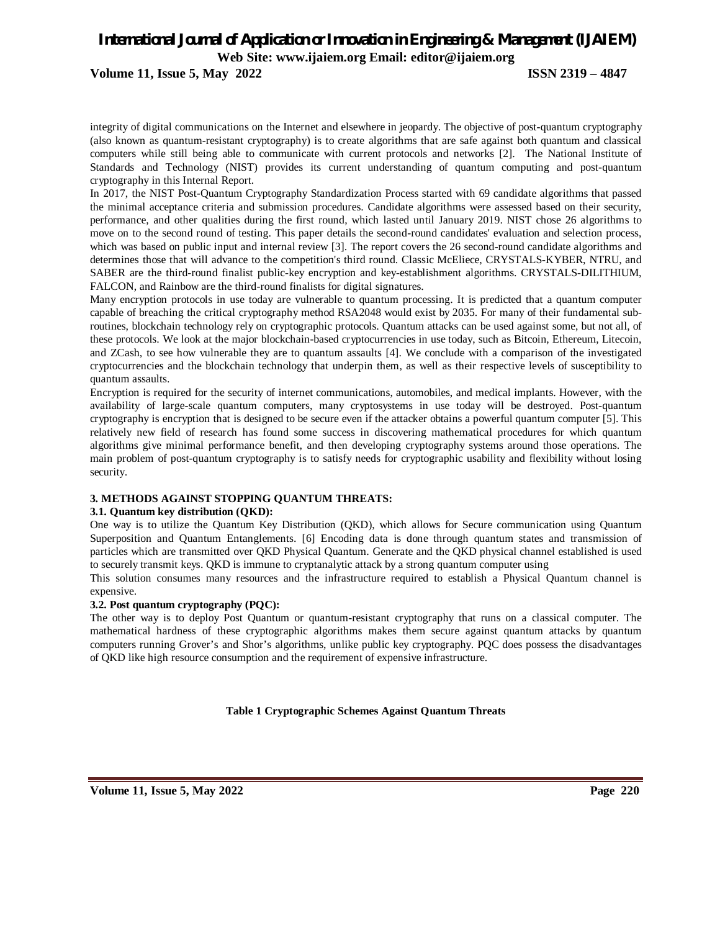**Volume 11, Issue 5, May 2022 ISSN 2319 – 4847**

integrity of digital communications on the Internet and elsewhere in jeopardy. The objective of post-quantum cryptography (also known as quantum-resistant cryptography) is to create algorithms that are safe against both quantum and classical computers while still being able to communicate with current protocols and networks [2]. The National Institute of Standards and Technology (NIST) provides its current understanding of quantum computing and post-quantum cryptography in this Internal Report.

In 2017, the NIST Post-Quantum Cryptography Standardization Process started with 69 candidate algorithms that passed the minimal acceptance criteria and submission procedures. Candidate algorithms were assessed based on their security, performance, and other qualities during the first round, which lasted until January 2019. NIST chose 26 algorithms to move on to the second round of testing. This paper details the second-round candidates' evaluation and selection process, which was based on public input and internal review [3]. The report covers the 26 second-round candidate algorithms and determines those that will advance to the competition's third round. Classic McEliece, CRYSTALS-KYBER, NTRU, and SABER are the third-round finalist public-key encryption and key-establishment algorithms. CRYSTALS-DILITHIUM, FALCON, and Rainbow are the third-round finalists for digital signatures.

Many encryption protocols in use today are vulnerable to quantum processing. It is predicted that a quantum computer capable of breaching the critical cryptography method RSA2048 would exist by 2035. For many of their fundamental subroutines, blockchain technology rely on cryptographic protocols. Quantum attacks can be used against some, but not all, of these protocols. We look at the major blockchain-based cryptocurrencies in use today, such as Bitcoin, Ethereum, Litecoin, and ZCash, to see how vulnerable they are to quantum assaults [4]. We conclude with a comparison of the investigated cryptocurrencies and the blockchain technology that underpin them, as well as their respective levels of susceptibility to quantum assaults.

Encryption is required for the security of internet communications, automobiles, and medical implants. However, with the availability of large-scale quantum computers, many cryptosystems in use today will be destroyed. Post-quantum cryptography is encryption that is designed to be secure even if the attacker obtains a powerful quantum computer [5]. This relatively new field of research has found some success in discovering mathematical procedures for which quantum algorithms give minimal performance benefit, and then developing cryptography systems around those operations. The main problem of post-quantum cryptography is to satisfy needs for cryptographic usability and flexibility without losing security.

#### **3. METHODS AGAINST STOPPING QUANTUM THREATS:**

#### **3.1. Quantum key distribution (QKD):**

One way is to utilize the Quantum Key Distribution (QKD), which allows for Secure communication using Quantum Superposition and Quantum Entanglements. [6] Encoding data is done through quantum states and transmission of particles which are transmitted over QKD Physical Quantum. Generate and the QKD physical channel established is used to securely transmit keys. QKD is immune to cryptanalytic attack by a strong quantum computer using

This solution consumes many resources and the infrastructure required to establish a Physical Quantum channel is expensive.

### **3.2. Post quantum cryptography (PQC):**

The other way is to deploy Post Quantum or quantum-resistant cryptography that runs on a classical computer. The mathematical hardness of these cryptographic algorithms makes them secure against quantum attacks by quantum computers running Grover's and Shor's algorithms, unlike public key cryptography. PQC does possess the disadvantages of QKD like high resource consumption and the requirement of expensive infrastructure.

**Table 1 Cryptographic Schemes Against Quantum Threats**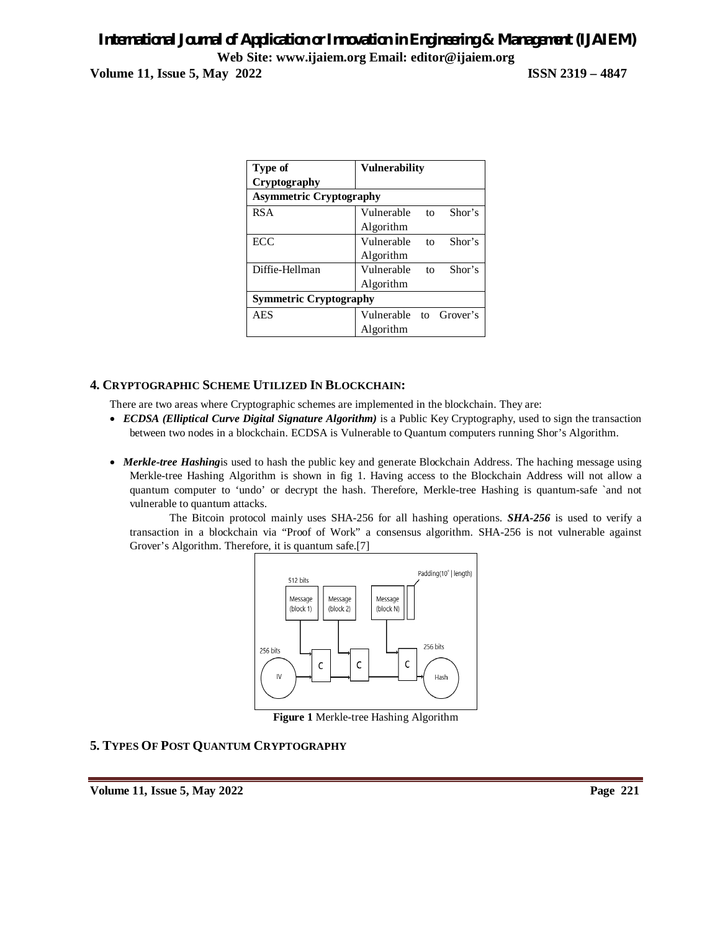**Volume 11, Issue 5, May 2022 ISSN 2319 – 4847**

| Type of                        | <b>Vulnerability</b>   |    |        |  |
|--------------------------------|------------------------|----|--------|--|
| Cryptography                   |                        |    |        |  |
| <b>Asymmetric Cryptography</b> |                        |    |        |  |
| <b>RSA</b>                     | Vulnerable             | to | Shor's |  |
|                                | Algorithm              |    |        |  |
| ECC                            | Vulnerable             | to | Shor's |  |
|                                | Algorithm              |    |        |  |
| Diffie-Hellman                 | Vulnerable             | to | Shor's |  |
|                                | Algorithm              |    |        |  |
| <b>Symmetric Cryptography</b>  |                        |    |        |  |
| <b>AES</b>                     | Vulnerable to Grover's |    |        |  |
|                                | Algorithm              |    |        |  |

## **4. CRYPTOGRAPHIC SCHEME UTILIZED IN BLOCKCHAIN:**

There are two areas where Cryptographic schemes are implemented in the blockchain. They are:

- *ECDSA (Elliptical Curve Digital Signature Algorithm)* is a Public Key Cryptography, used to sign the transaction between two nodes in a blockchain. ECDSA is Vulnerable to Quantum computers running Shor's Algorithm.
- *Merkle-tree Hashing*is used to hash the public key and generate Blockchain Address. The haching message using Merkle-tree Hashing Algorithm is shown in fig 1. Having access to the Blockchain Address will not allow a quantum computer to 'undo' or decrypt the hash. Therefore, Merkle-tree Hashing is quantum-safe `and not vulnerable to quantum attacks.

The Bitcoin protocol mainly uses SHA-256 for all hashing operations. *SHA-256* is used to verify a transaction in a blockchain via "Proof of Work" a consensus algorithm. SHA-256 is not vulnerable against Grover's Algorithm. Therefore, it is quantum safe.[7]



**Figure 1** Merkle-tree Hashing Algorithm

## **5. TYPES OF POST QUANTUM CRYPTOGRAPHY**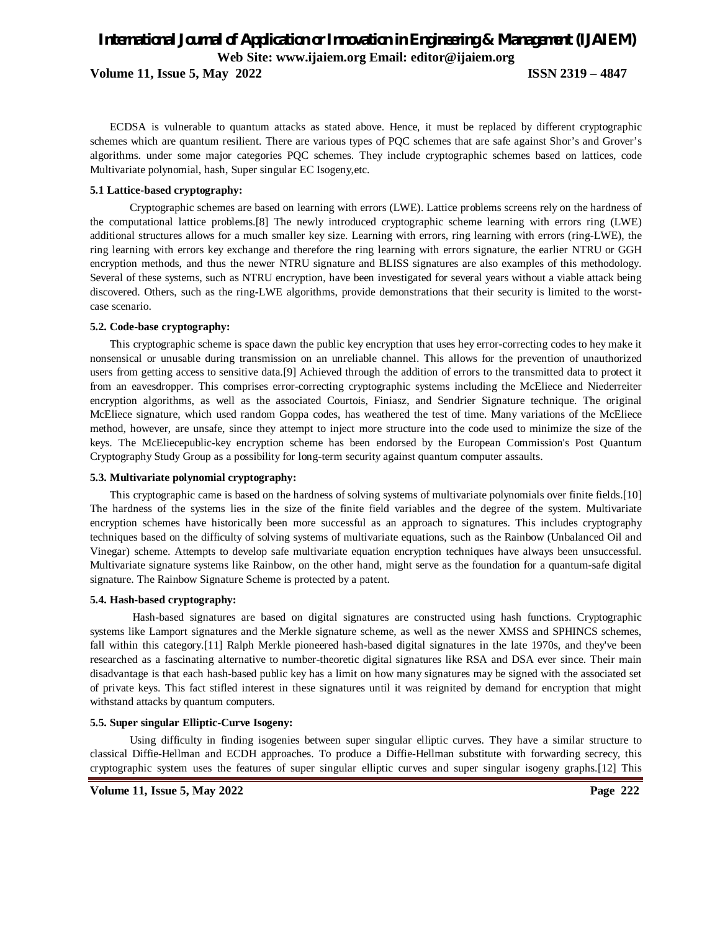**Volume 11, Issue 5, May 2022 ISSN 2319 – 4847**

ECDSA is vulnerable to quantum attacks as stated above. Hence, it must be replaced by different cryptographic schemes which are quantum resilient. There are various types of PQC schemes that are safe against Shor's and Grover's algorithms. under some major categories PQC schemes. They include cryptographic schemes based on lattices, code Multivariate polynomial, hash, Super singular EC Isogeny,etc.

#### **5.1 Lattice-based cryptography:**

Cryptographic schemes are based on learning with errors (LWE). Lattice problems screens rely on the hardness of the computational lattice problems.[8] The newly introduced cryptographic scheme learning with errors ring (LWE) additional structures allows for a much smaller key size. Learning with errors, ring learning with errors (ring-LWE), the ring learning with errors key exchange and therefore the ring learning with errors signature, the earlier NTRU or GGH encryption methods, and thus the newer NTRU signature and BLISS signatures are also examples of this methodology. Several of these systems, such as NTRU encryption, have been investigated for several years without a viable attack being discovered. Others, such as the ring-LWE algorithms, provide demonstrations that their security is limited to the worstcase scenario.

#### **5.2. Code-base cryptography:**

This cryptographic scheme is space dawn the public key encryption that uses hey error-correcting codes to hey make it nonsensical or unusable during transmission on an unreliable channel. This allows for the prevention of unauthorized users from getting access to sensitive data.[9] Achieved through the addition of errors to the transmitted data to protect it from an eavesdropper. This comprises error-correcting cryptographic systems including the McEliece and Niederreiter encryption algorithms, as well as the associated Courtois, Finiasz, and Sendrier Signature technique. The original McEliece signature, which used random Goppa codes, has weathered the test of time. Many variations of the McEliece method, however, are unsafe, since they attempt to inject more structure into the code used to minimize the size of the keys. The McEliecepublic-key encryption scheme has been endorsed by the European Commission's Post Quantum Cryptography Study Group as a possibility for long-term security against quantum computer assaults.

#### **5.3. Multivariate polynomial cryptography:**

This cryptographic came is based on the hardness of solving systems of multivariate polynomials over finite fields.[10] The hardness of the systems lies in the size of the finite field variables and the degree of the system. Multivariate encryption schemes have historically been more successful as an approach to signatures. This includes cryptography techniques based on the difficulty of solving systems of multivariate equations, such as the Rainbow (Unbalanced Oil and Vinegar) scheme. Attempts to develop safe multivariate equation encryption techniques have always been unsuccessful. Multivariate signature systems like Rainbow, on the other hand, might serve as the foundation for a quantum-safe digital signature. The Rainbow Signature Scheme is protected by a patent.

#### **5.4. Hash-based cryptography:**

Hash-based signatures are based on digital signatures are constructed using hash functions. Cryptographic systems like Lamport signatures and the Merkle signature scheme, as well as the newer XMSS and SPHINCS schemes, fall within this category.[11] Ralph Merkle pioneered hash-based digital signatures in the late 1970s, and they've been researched as a fascinating alternative to number-theoretic digital signatures like RSA and DSA ever since. Their main disadvantage is that each hash-based public key has a limit on how many signatures may be signed with the associated set of private keys. This fact stifled interest in these signatures until it was reignited by demand for encryption that might withstand attacks by quantum computers.

#### **5.5. Super singular Elliptic-Curve Isogeny:**

Using difficulty in finding isogenies between super singular elliptic curves. They have a similar structure to classical Diffie-Hellman and ECDH approaches. To produce a Diffie-Hellman substitute with forwarding secrecy, this cryptographic system uses the features of super singular elliptic curves and super singular isogeny graphs.[12] This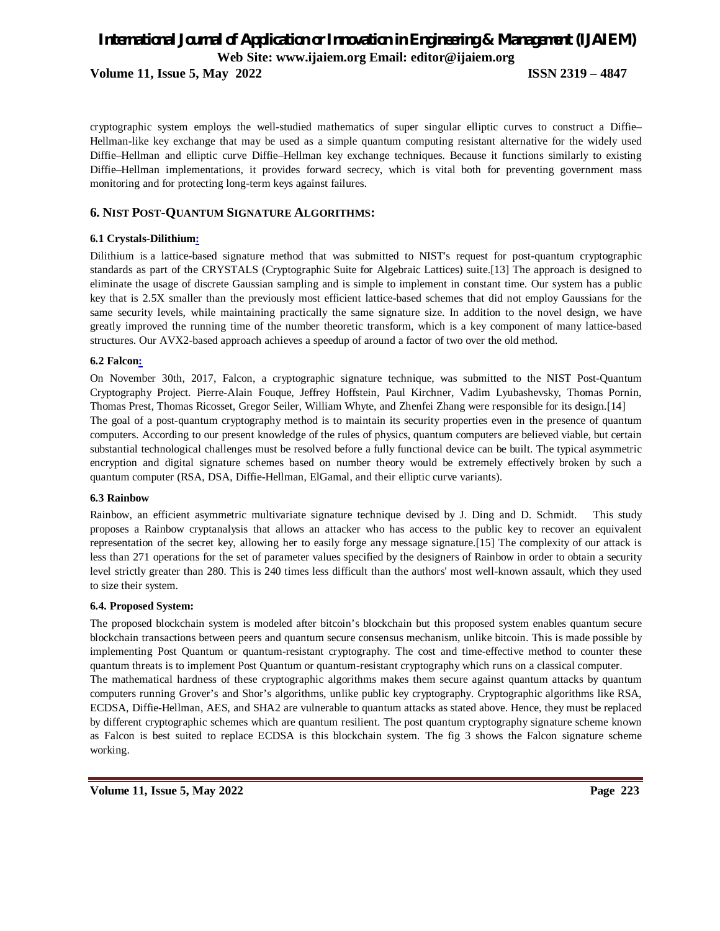**Volume 11, Issue 5, May 2022 ISSN 2319 – 4847**

cryptographic system employs the well-studied mathematics of super singular elliptic curves to construct a Diffie– Hellman-like key exchange that may be used as a simple quantum computing resistant alternative for the widely used Diffie–Hellman and elliptic curve Diffie–Hellman key exchange techniques. Because it functions similarly to existing Diffie–Hellman implementations, it provides forward secrecy, which is vital both for preventing government mass monitoring and for protecting long-term keys against failures.

### **6. NIST POST-QUANTUM SIGNATURE ALGORITHMS:**

### **6.1 Crystals-Dilithium:**

Dilithium is a lattice-based signature method that was submitted to NIST's request for post-quantum cryptographic standards as part of the CRYSTALS (Cryptographic Suite for Algebraic Lattices) suite.[13] The approach is designed to eliminate the usage of discrete Gaussian sampling and is simple to implement in constant time. Our system has a public key that is 2.5X smaller than the previously most efficient lattice-based schemes that did not employ Gaussians for the same security levels, while maintaining practically the same signature size. In addition to the novel design, we have greatly improved the running time of the number theoretic transform, which is a key component of many lattice-based structures. Our AVX2-based approach achieves a speedup of around a factor of two over the old method.

#### **6.2 Falcon:**

On November 30th, 2017, Falcon, a cryptographic signature technique, was submitted to the NIST Post-Quantum Cryptography Project. Pierre-Alain Fouque, Jeffrey Hoffstein, Paul Kirchner, Vadim Lyubashevsky, Thomas Pornin, Thomas Prest, Thomas Ricosset, Gregor Seiler, William Whyte, and Zhenfei Zhang were responsible for its design.[14] The goal of a post-quantum cryptography method is to maintain its security properties even in the presence of quantum computers. According to our present knowledge of the rules of physics, quantum computers are believed viable, but certain substantial technological challenges must be resolved before a fully functional device can be built. The typical asymmetric encryption and digital signature schemes based on number theory would be extremely effectively broken by such a quantum computer (RSA, DSA, Diffie-Hellman, ElGamal, and their elliptic curve variants).

#### **6.3 Rainbow**

Rainbow, an efficient asymmetric multivariate signature technique devised by J. Ding and D. Schmidt. This study proposes a Rainbow cryptanalysis that allows an attacker who has access to the public key to recover an equivalent representation of the secret key, allowing her to easily forge any message signature.[15] The complexity of our attack is less than 271 operations for the set of parameter values specified by the designers of Rainbow in order to obtain a security level strictly greater than 280. This is 240 times less difficult than the authors' most well-known assault, which they used to size their system.

#### **6.4. Proposed System:**

The proposed blockchain system is modeled after bitcoin's blockchain but this proposed system enables quantum secure blockchain transactions between peers and quantum secure consensus mechanism, unlike bitcoin. This is made possible by implementing Post Quantum or quantum-resistant cryptography. The cost and time-effective method to counter these quantum threats is to implement Post Quantum or quantum-resistant cryptography which runs on a classical computer. The mathematical hardness of these cryptographic algorithms makes them secure against quantum attacks by quantum computers running Grover's and Shor's algorithms, unlike public key cryptography. Cryptographic algorithms like RSA, ECDSA, Diffie-Hellman, AES, and SHA2 are vulnerable to quantum attacks as stated above. Hence, they must be replaced by different cryptographic schemes which are quantum resilient. The post quantum cryptography signature scheme known as Falcon is best suited to replace ECDSA is this blockchain system. The fig 3 shows the Falcon signature scheme working.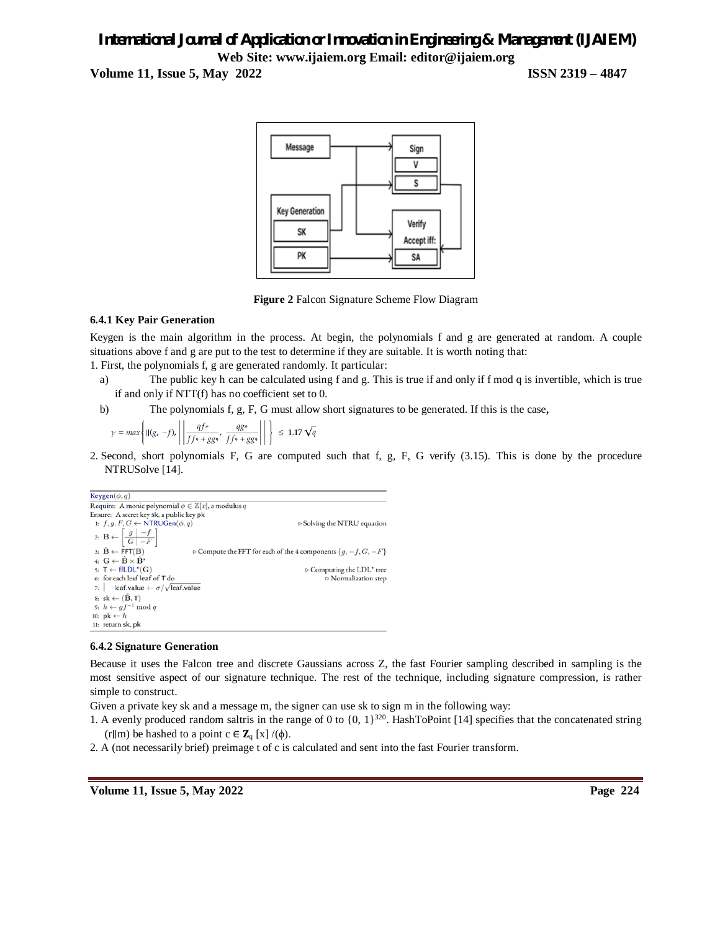**Volume 11, Issue 5, May 2022 ISSN 2319 – 4847**



**Figure 2** Falcon Signature Scheme Flow Diagram

### **6.4.1 Key Pair Generation**

Keygen is the main algorithm in the process. At begin, the polynomials f and g are generated at random. A couple situations above f and g are put to the test to determine if they are suitable. It is worth noting that:

1. First, the polynomials f, g are generated randomly. It particular:

- a) The public key h can be calculated using f and g. This is true if and only if f mod q is invertible, which is true if and only if NTT(f) has no coefficient set to 0.
- b) The polynomials f, g, F, G must allow short signatures to be generated. If this is the case,

$$
\gamma = \max \left\{ ||(g, -f)_r|| \left| \frac{qf^*}{ff^* + gg^*}, \frac{qg^*}{ff^* + gg^*} \right| \right| \right\} \le 1.17 \sqrt{q}
$$

2. Second, short polynomials F, G are computed such that f, g, F, G verify (3.15). This is done by the procedure NTRUSolve [14].

```
Keygen(\phi, q)Require: A monic polynomial \phi \in \mathbb{Z}[x], a modulus qEnsure: A secret key sk, a public key pk
  1: f, g, F, G \leftarrow \text{NTRUGen}(\phi, q)▷ Solving the NTRU equation
  2. B \leftarrow \left[ \begin{array}{c|c} g & -f \\ \hline G & -F \end{array} \right]3: \hat{\mathbf{B}} \leftarrow \mathsf{FFT}(\mathbf{B})\triangleright Compute the FFT for each of the 4 components \{g, -f, G, -F\}4: \mathbf{G} \leftarrow \hat{\mathbf{B}} \times \hat{\mathbf{B}}^{\star}s: T \leftarrow ffLDL^*(G)\triangleright Computing the {\rm LDL}^\star tree
  6: for each leaf leaf of T do
                                                                                                                            \triangleright Normalization step
  7: leaf.value \leftarrow \sigma/\sqrt{\text{leaf.value}}8: sk \leftarrow (\hat{B}, T)9: h \leftarrow gf^{-1} \mod q10: pk \leftarrow h11: return sk, pk
```
### **6.4.2 Signature Generation**

Because it uses the Falcon tree and discrete Gaussians across Z, the fast Fourier sampling described in sampling is the most sensitive aspect of our signature technique. The rest of the technique, including signature compression, is rather simple to construct.

Given a private key sk and a message m, the signer can use sk to sign m in the following way:

- 1. A evenly produced random saltris in the range of 0 to  $\{0, 1\}^{320}$ . HashToPoint [14] specifies that the concatenated string (r∥m) be hashed to a point  $c \in \mathbb{Z}_q$  [x] /( $\phi$ ).
- 2. A (not necessarily brief) preimage t of c is calculated and sent into the fast Fourier transform.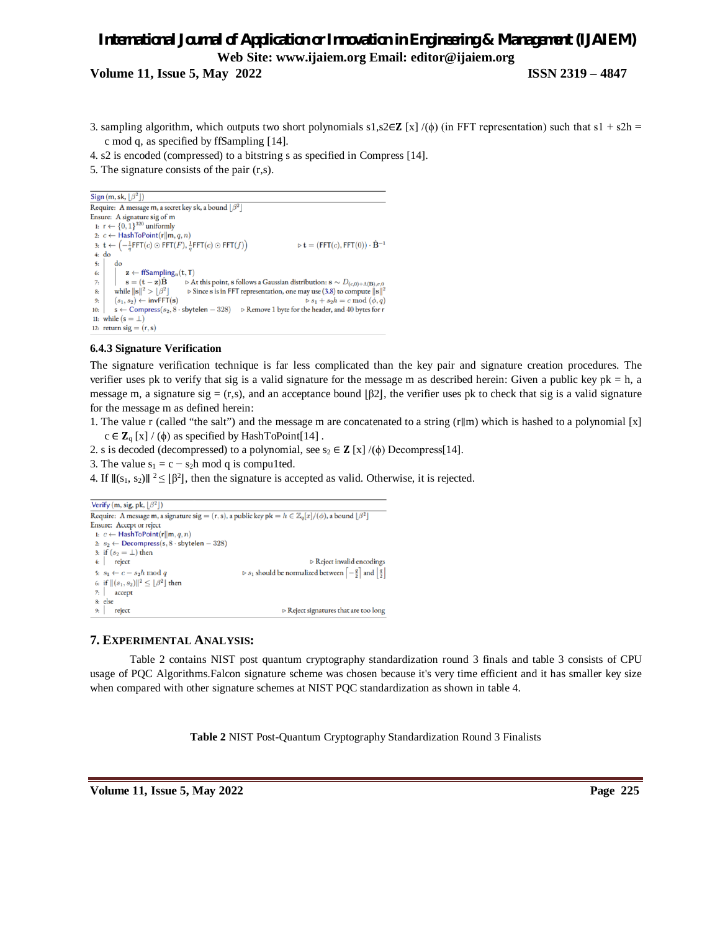**Volume 11, Issue 5, May 2022 ISSN 2319 – 4847**

- 3. sampling algorithm, which outputs two short polynomials s1,s2∈**Z** [x] /( $\phi$ ) (in FFT representation) such that s1 + s2h = c mod q, as specified by ffSampling [14].
- 4. s2 is encoded (compressed) to a bitstring s as specified in Compress [14].
- 5. The signature consists of the pair (r,s).

```
Sign (m, sk, \left[\beta^2\right])
Require: A message m, a secret key sk, a bound \lfloor\beta^2\rfloorEnsure: A signature sig of m
   1: r \leftarrow \{0, 1\}^{320} uniformly
  2: c ← HashToPoint(r||m, q, n)
  3: \mathbf{t} \leftarrow \left(-\frac{1}{q}\mathsf{FFT}(c) \odot \mathsf{FFT}(F), \frac{1}{q}\mathsf{FFT}(c) \odot \mathsf{FFT}(f)\right)\triangleright t = (FFT(c), FFT(0)) \cdot \hat{\mathbf{B}}^{-1}4: d0\overline{\mathbf{5}}d_{\Omega}6:\mathbf{z} \leftarrow \text{ffSampling}_n(\mathbf{t}, \mathbf{T})\rhd At this point, {\bf s} follows a Gaussian distribution: {\bf s}\sim D_{(c,0)+\Lambda({\bf B}),\sigma,0}\overline{7}\mathbf{s} = (\mathbf{t} - \mathbf{z})\hat{\mathbf{B}}8<sub>i</sub>while \|\mathbf{s}\|^2 > \lfloor \beta^2 \rfloor\triangleright Since s is in FFT representation, one may use (3.8) to compute \|{\bf s}\|(s_1, s_2) \leftarrow \text{invFFT}(\mathbf{s})\mathfrak{g}.
                                                                                                                                          \triangleright s_1 + s_2 h = c \bmod (\phi, q)\mathbf{s} \leftarrow \mathsf{Compress}(s_2, 8\cdot\mathsf{sbytelen} - 328) \quad \mathrel{\triangleright} \mathsf{Remove}\,1\,\mathsf{byte}\,\mathsf{for}\,\mathsf{the}\,\mathsf{header},\,\mathsf{and}\,40\,\mathsf{bytes}\,\mathsf{for}\,\mathsf{r}10<sub>1</sub>11: while (s = \perp)12: return sig = (r, s)
```
# **6.4.3 Signature Verification**

The signature verification technique is far less complicated than the key pair and signature creation procedures. The verifier uses pk to verify that sig is a valid signature for the message m as described herein: Given a public key  $pk = h$ , a message m, a signature sig = (r,s), and an acceptance bound  $\beta$ 2, the verifier uses pk to check that sig is a valid signature for the message m as defined herein:

1. The value r (called "the salt") and the message m are concatenated to a string (r∥m) which is hashed to a polynomial [x]  $c \in \mathbb{Z}_{q}$  [x] / ( $\phi$ ) as specified by HashToPoint[14].

- 2. s is decoded (decompressed) to a polynomial, see  $s_2 \in \mathbb{Z}$  [x] /( $\phi$ ) Decompress[14].
- 3. The value  $s_1 = c s_2h \mod q$  is compu1ted.
- 4. If  $\|(s_1, s_2)\|$  <sup>2</sup> ≤  $\|\beta^2\|$ , then the signature is accepted as valid. Otherwise, it is rejected.

```
Verify (m, sig, pk, \lfloor \beta^2 \rfloor)
Require: A message m, a signature sig = (r, s), a public key pk = h \in \mathbb{Z}_q[x]/(\phi), a bound \lfloor \beta^2 \rfloorEnsure: Accept or reject
 1: c \leftarrow HashToPoint(r||m, q, n)
 2: s_2 \leftarrow Decompress(s, 8 · sbytelen - 328)
 3: if (s_2 = \bot) then
 4: reject
                                                                                                     \triangleright Reject invalid encodings
                                                                     \triangleright s_1 should be normalized between \left[-\frac{q}{2}\right] and \left[\frac{q}{2}\right]5: s_1 \leftarrow c - s_2 h \mod q6: if \|(s_1,s_2)\|^2\leq \lfloor\beta^2\rfloor then
  7:accept
  8: else
 9: reject
                                                                                        \triangleright Reject signatures that are too long
```
## **7. EXPERIMENTAL ANALYSIS:**

Table 2 contains NIST post quantum cryptography standardization round 3 finals and table 3 consists of CPU usage of PQC Algorithms.Falcon signature scheme was chosen because it's very time efficient and it has smaller key size when compared with other signature schemes at NIST PQC standardization as shown in table 4.

**Table 2** NIST Post-Quantum Cryptography Standardization Round 3 Finalists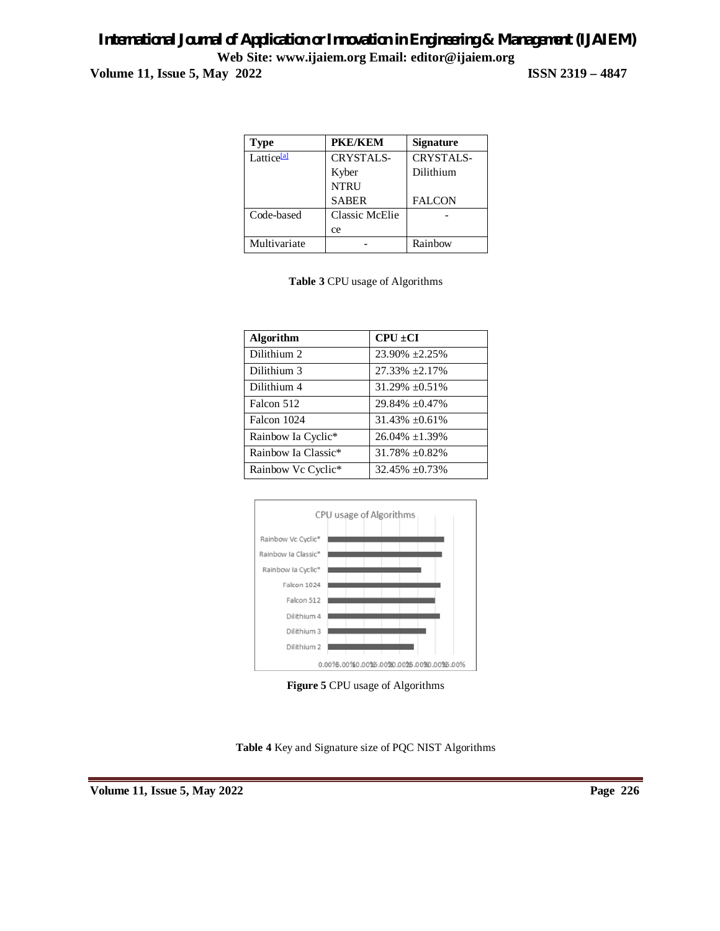# *International Journal of Application or Innovation in Engineering & Management (IJAIEM)* **Web Site: www.ijaiem.org Email: editor@ijaiem.org Volume 11, Issue 5, May 2022 ISSN 2319 – 4847**

| Type                   | <b>PKE/KEM</b>        | <b>Signature</b> |
|------------------------|-----------------------|------------------|
| Lattice <sup>[a]</sup> | <b>CRYSTALS-</b>      | <b>CRYSTALS-</b> |
|                        | Kyber                 | Dilithium        |
|                        | <b>NTRU</b>           |                  |
|                        | <b>SABER</b>          | <b>FALCON</b>    |
| Code-based             | <b>Classic McElie</b> |                  |
|                        | ce                    |                  |
| Multivariate           |                       | Rainbow          |

|  | <b>Table 3 CPU</b> usage of Algorithms |
|--|----------------------------------------|
|--|----------------------------------------|

| Algorithm           | $\text{CPU} \pm \text{CI}$ |
|---------------------|----------------------------|
| Dilithium 2         | $23.90\% +2.25\%$          |
| Dilithium 3         | $27.33\% + 2.17\%$         |
| Dilithium 4         | $31.29\% + 0.51\%$         |
| Falcon 512          | 29.84% ±0.47%              |
| Falcon 1024         | $31.43\% + 0.61\%$         |
| Rainbow Ia Cyclic*  | $26.04\% + 1.39\%$         |
| Rainbow Ia Classic* | $31.78\% \pm 0.82\%$       |
| Rainbow Vc Cyclic*  | $32.45\% \pm 0.73\%$       |



**Figure 5** CPU usage of Algorithms

**Table 4** Key and Signature size of PQC NIST Algorithms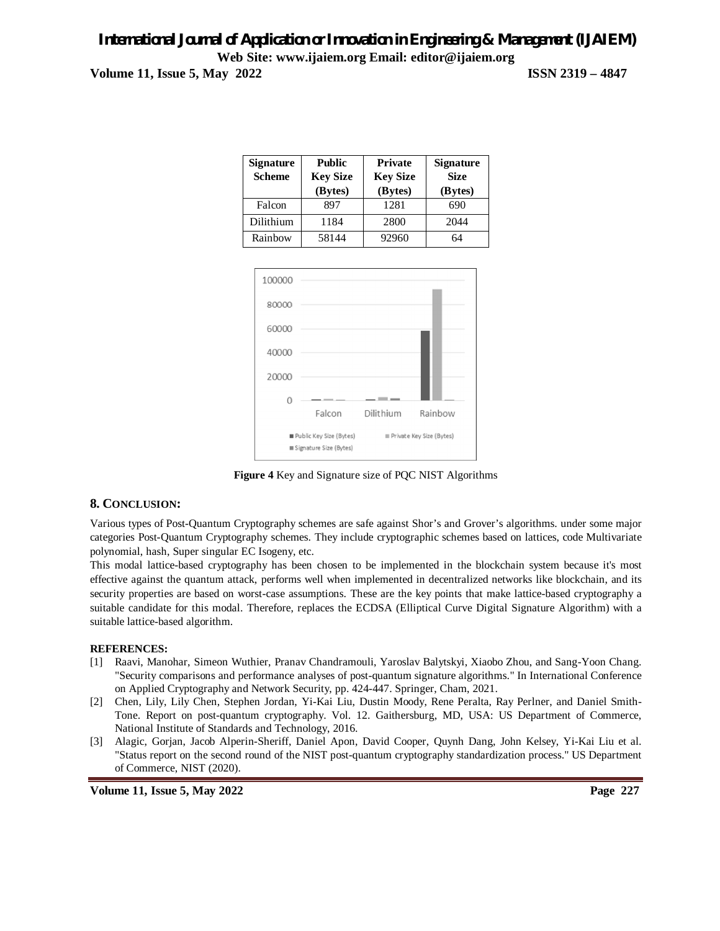# *International Journal of Application or Innovation in Engineering & Management (IJAIEM)* **Web Site: www.ijaiem.org Email: editor@ijaiem.org Volume 11, Issue 5, May 2022 ISSN 2319 – 4847**

| <b>Signature</b><br><b>Scheme</b> | <b>Public</b><br><b>Key Size</b><br>(Bytes) | <b>Private</b><br><b>Key Size</b><br>(Bytes) | <b>Signature</b><br><b>Size</b><br>(Bytes) |
|-----------------------------------|---------------------------------------------|----------------------------------------------|--------------------------------------------|
| Falcon                            | 897                                         | 1281                                         | 690                                        |
| Dilithium                         | 1184                                        | 2800                                         | 2044                                       |
| Rainbow                           | 58144                                       | 92960                                        | 64                                         |



**Figure 4** Key and Signature size of PQC NIST Algorithms

## **8. CONCLUSION:**

Various types of Post-Quantum Cryptography schemes are safe against Shor's and Grover's algorithms. under some major categories Post-Quantum Cryptography schemes. They include cryptographic schemes based on lattices, code Multivariate polynomial, hash, Super singular EC Isogeny, etc.

This modal lattice-based cryptography has been chosen to be implemented in the blockchain system because it's most effective against the quantum attack, performs well when implemented in decentralized networks like blockchain, and its security properties are based on worst-case assumptions. These are the key points that make lattice-based cryptography a suitable candidate for this modal. Therefore, replaces the ECDSA (Elliptical Curve Digital Signature Algorithm) with a suitable lattice-based algorithm.

### **REFERENCES:**

- [1] Raavi, Manohar, Simeon Wuthier, Pranav Chandramouli, Yaroslav Balytskyi, Xiaobo Zhou, and Sang-Yoon Chang. "Security comparisons and performance analyses of post-quantum signature algorithms." In International Conference on Applied Cryptography and Network Security, pp. 424-447. Springer, Cham, 2021.
- [2] Chen, Lily, Lily Chen, Stephen Jordan, Yi-Kai Liu, Dustin Moody, Rene Peralta, Ray Perlner, and Daniel Smith-Tone. Report on post-quantum cryptography. Vol. 12. Gaithersburg, MD, USA: US Department of Commerce, National Institute of Standards and Technology, 2016.
- [3] Alagic, Gorjan, Jacob Alperin-Sheriff, Daniel Apon, David Cooper, Quynh Dang, John Kelsey, Yi-Kai Liu et al. "Status report on the second round of the NIST post-quantum cryptography standardization process." US Department of Commerce, NIST (2020).

**Volume 11, Issue 5, May 2022 Page 227**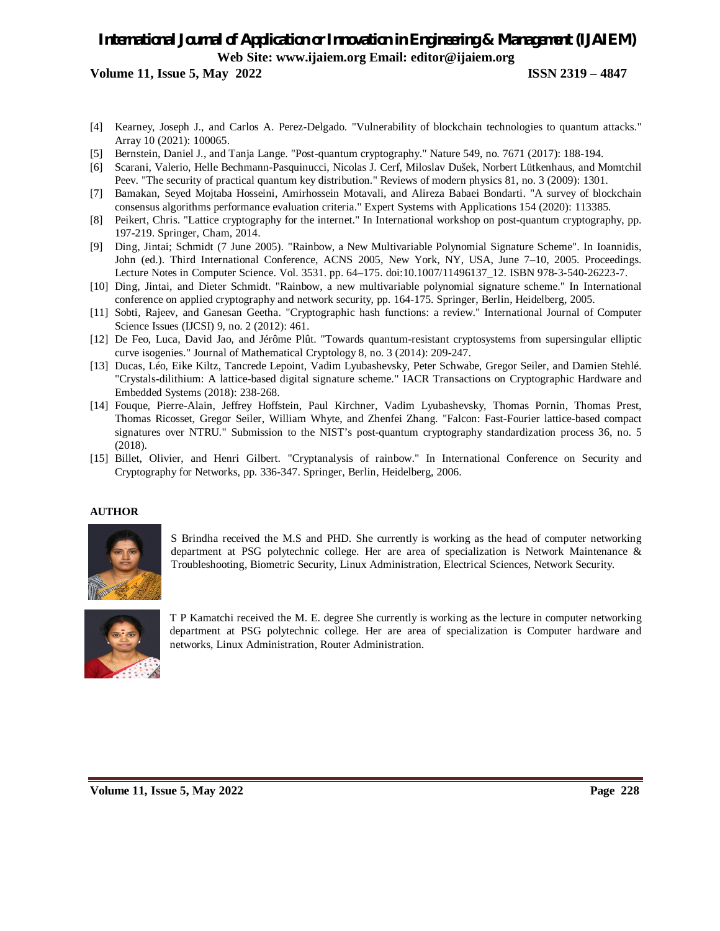**Volume 11, Issue 5, May 2022 ISSN 2319 – 4847**

- [4] Kearney, Joseph J., and Carlos A. Perez-Delgado. "Vulnerability of blockchain technologies to quantum attacks." Array 10 (2021): 100065.
- [5] Bernstein, Daniel J., and Tanja Lange. "Post-quantum cryptography." Nature 549, no. 7671 (2017): 188-194.
- [6] Scarani, Valerio, Helle Bechmann-Pasquinucci, Nicolas J. Cerf, Miloslav Dušek, Norbert Lütkenhaus, and Momtchil Peev. "The security of practical quantum key distribution." Reviews of modern physics 81, no. 3 (2009): 1301.
- [7] Bamakan, Seyed Mojtaba Hosseini, Amirhossein Motavali, and Alireza Babaei Bondarti. "A survey of blockchain consensus algorithms performance evaluation criteria." Expert Systems with Applications 154 (2020): 113385.
- [8] Peikert, Chris. "Lattice cryptography for the internet." In International workshop on post-quantum cryptography, pp. 197-219. Springer, Cham, 2014.
- [9] Ding, Jintai; Schmidt (7 June 2005). "Rainbow, a New Multivariable Polynomial Signature Scheme". In Ioannidis, John (ed.). Third International Conference, ACNS 2005, New York, NY, USA, June 7–10, 2005. Proceedings. Lecture Notes in Computer Science. Vol. 3531. pp. 64–175. doi:10.1007/11496137\_12. ISBN 978-3-540-26223-7.
- [10] Ding, Jintai, and Dieter Schmidt. "Rainbow, a new multivariable polynomial signature scheme." In International conference on applied cryptography and network security, pp. 164-175. Springer, Berlin, Heidelberg, 2005.
- [11] Sobti, Rajeev, and Ganesan Geetha. "Cryptographic hash functions: a review." International Journal of Computer Science Issues (IJCSI) 9, no. 2 (2012): 461.
- [12] De Feo, Luca, David Jao, and Jérôme Plût. "Towards quantum-resistant cryptosystems from supersingular elliptic curve isogenies." Journal of Mathematical Cryptology 8, no. 3 (2014): 209-247.
- [13] Ducas, Léo, Eike Kiltz, Tancrede Lepoint, Vadim Lyubashevsky, Peter Schwabe, Gregor Seiler, and Damien Stehlé. "Crystals-dilithium: A lattice-based digital signature scheme." IACR Transactions on Cryptographic Hardware and Embedded Systems (2018): 238-268.
- [14] Fouque, Pierre-Alain, Jeffrey Hoffstein, Paul Kirchner, Vadim Lyubashevsky, Thomas Pornin, Thomas Prest, Thomas Ricosset, Gregor Seiler, William Whyte, and Zhenfei Zhang. "Falcon: Fast-Fourier lattice-based compact signatures over NTRU." Submission to the NIST's post-quantum cryptography standardization process 36, no. 5 (2018).
- [15] Billet, Olivier, and Henri Gilbert. "Cryptanalysis of rainbow." In International Conference on Security and Cryptography for Networks, pp. 336-347. Springer, Berlin, Heidelberg, 2006.

### **AUTHOR**



S Brindha received the M.S and PHD. She currently is working as the head of computer networking department at PSG polytechnic college. Her are area of specialization is Network Maintenance & Troubleshooting, Biometric Security, Linux Administration, Electrical Sciences, Network Security.



T P Kamatchi received the M. E. degree She currently is working as the lecture in computer networking department at PSG polytechnic college. Her are area of specialization is Computer hardware and networks, Linux Administration, Router Administration.